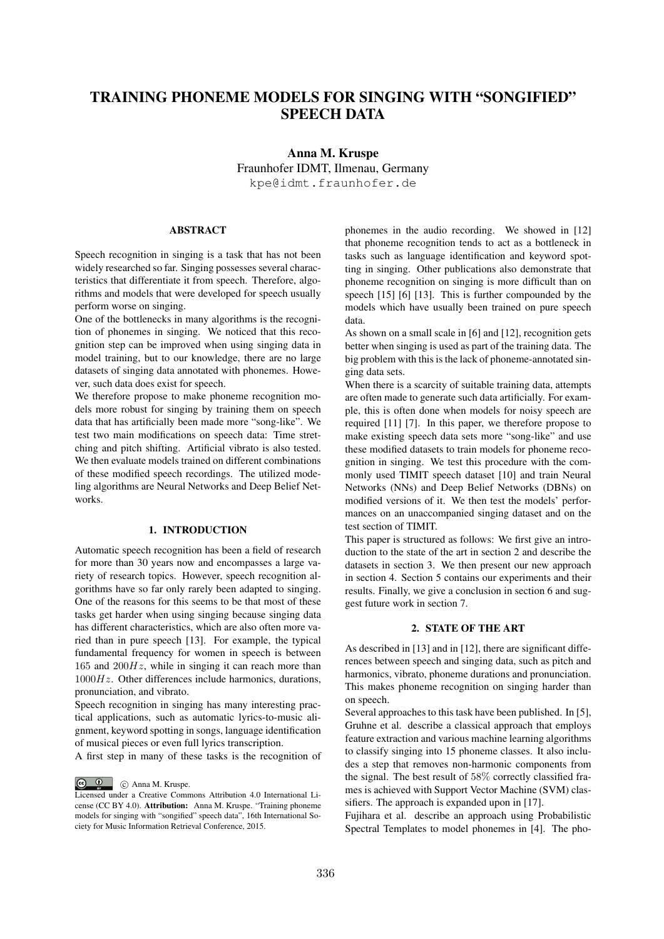# TRAINING PHONEME MODELS FOR SINGING WITH "SONGIFIED" SPEECH DATA

Anna M. Kruspe Fraunhofer IDMT, Ilmenau, Germany kpe@idmt.fraunhofer.de

# **ABSTRACT**

Speech recognition in singing is a task that has not been widely researched so far. Singing possesses several characteristics that differentiate it from speech. Therefore, algorithms and models that were developed for speech usually perform worse on singing.

One of the bottlenecks in many algorithms is the recognition of phonemes in singing. We noticed that this recognition step can be improved when using singing data in model training, but to our knowledge, there are no large datasets of singing data annotated with phonemes. However, such data does exist for speech.

We therefore propose to make phoneme recognition models more robust for singing by training them on speech data that has artificially been made more "song-like". We test two main modifications on speech data: Time stretching and pitch shifting. Artificial vibrato is also tested. We then evaluate models trained on different combinations of these modified speech recordings. The utilized modeling algorithms are Neural Networks and Deep Belief Networks.

### 1. INTRODUCTION

Automatic speech recognition has been a field of research for more than 30 years now and encompasses a large variety of research topics. However, speech recognition algorithms have so far only rarely been adapted to singing. One of the reasons for this seems to be that most of these tasks get harder when using singing because singing data has different characteristics, which are also often more varied than in pure speech [13]. For example, the typical fundamental frequency for women in speech is between 165 and 200*Hz*, while in singing it can reach more than 1000*Hz*. Other differences include harmonics, durations, pronunciation, and vibrato.

Speech recognition in singing has many interesting practical applications, such as automatic lyrics-to-music alignment, keyword spotting in songs, language identification of musical pieces or even full lyrics transcription.

A first step in many of these tasks is the recognition of

C Anna M. Kruspe.

phonemes in the audio recording. We showed in [12] that phoneme recognition tends to act as a bottleneck in tasks such as language identification and keyword spotting in singing. Other publications also demonstrate that phoneme recognition on singing is more difficult than on speech [15] [6] [13]. This is further compounded by the models which have usually been trained on pure speech data.

As shown on a small scale in [6] and [12], recognition gets better when singing is used as part of the training data. The big problem with this is the lack of phoneme-annotated singing data sets.

When there is a scarcity of suitable training data, attempts are often made to generate such data artificially. For example, this is often done when models for noisy speech are required [11] [7]. In this paper, we therefore propose to make existing speech data sets more "song-like" and use these modified datasets to train models for phoneme recognition in singing. We test this procedure with the commonly used TIMIT speech dataset [10] and train Neural Networks (NNs) and Deep Belief Networks (DBNs) on modified versions of it. We then test the models' performances on an unaccompanied singing dataset and on the test section of TIMIT.

This paper is structured as follows: We first give an introduction to the state of the art in section 2 and describe the datasets in section 3. We then present our new approach in section 4. Section 5 contains our experiments and their results. Finally, we give a conclusion in section 6 and suggest future work in section 7.

# 2. STATE OF THE ART

As described in [13] and in [12], there are significant differences between speech and singing data, such as pitch and harmonics, vibrato, phoneme durations and pronunciation. This makes phoneme recognition on singing harder than on speech.

Several approaches to this task have been published. In [5], Gruhne et al. describe a classical approach that employs feature extraction and various machine learning algorithms to classify singing into 15 phoneme classes. It also includes a step that removes non-harmonic components from the signal. The best result of 58% correctly classified frames is achieved with Support Vector Machine (SVM) classifiers. The approach is expanded upon in [17].

Fujihara et al. describe an approach using Probabilistic Spectral Templates to model phonemes in [4]. The pho-

Licensed under a Creative Commons Attribution 4.0 International License (CC BY 4.0). Attribution: Anna M. Kruspe. "Training phoneme models for singing with "songified" speech data", 16th International Society for Music Information Retrieval Conference, 2015.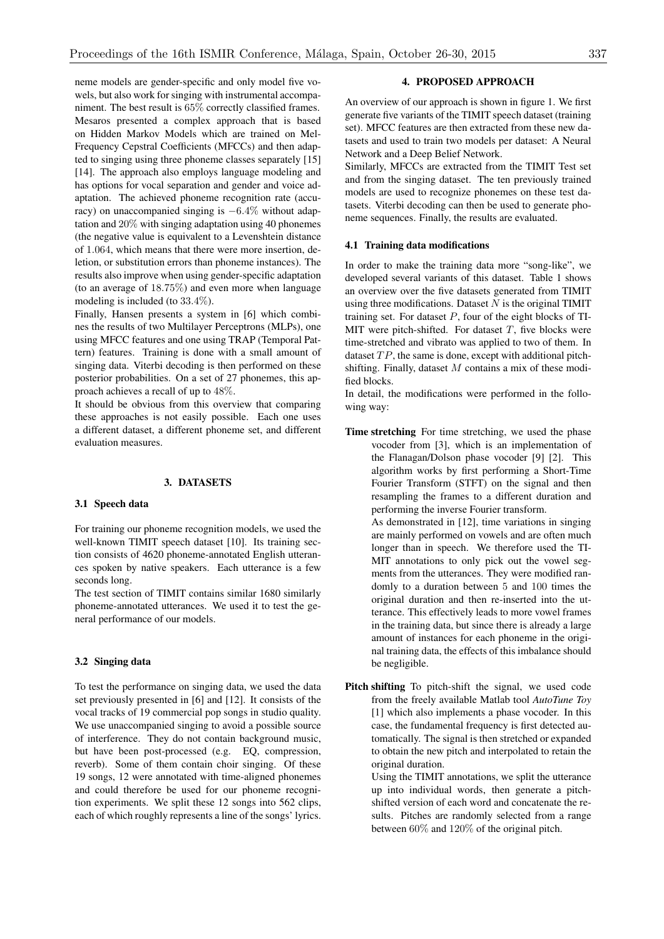neme models are gender-specific and only model five vowels, but also work for singing with instrumental accompaniment. The best result is 65% correctly classified frames. Mesaros presented a complex approach that is based on Hidden Markov Models which are trained on Mel-Frequency Cepstral Coefficients (MFCCs) and then adapted to singing using three phoneme classes separately [15] [14]. The approach also employs language modeling and has options for vocal separation and gender and voice adaptation. The achieved phoneme recognition rate (accuracy) on unaccompanied singing is  $-6.4\%$  without adaptation and 20% with singing adaptation using 40 phonemes (the negative value is equivalent to a Levenshtein distance of 1*.*064, which means that there were more insertion, deletion, or substitution errors than phoneme instances). The results also improve when using gender-specific adaptation (to an average of 18*.*75%) and even more when language modeling is included (to 33*.*4%).

Finally, Hansen presents a system in [6] which combines the results of two Multilayer Perceptrons (MLPs), one using MFCC features and one using TRAP (Temporal Pattern) features. Training is done with a small amount of singing data. Viterbi decoding is then performed on these posterior probabilities. On a set of 27 phonemes, this approach achieves a recall of up to 48%.

It should be obvious from this overview that comparing these approaches is not easily possible. Each one uses a different dataset, a different phoneme set, and different evaluation measures.

# 3. DATASETS

### 3.1 Speech data

For training our phoneme recognition models, we used the well-known TIMIT speech dataset [10]. Its training section consists of 4620 phoneme-annotated English utterances spoken by native speakers. Each utterance is a few seconds long.

The test section of TIMIT contains similar 1680 similarly phoneme-annotated utterances. We used it to test the general performance of our models.

### 3.2 Singing data

To test the performance on singing data, we used the data set previously presented in [6] and [12]. It consists of the vocal tracks of 19 commercial pop songs in studio quality. We use unaccompanied singing to avoid a possible source of interference. They do not contain background music, but have been post-processed (e.g. EQ, compression, reverb). Some of them contain choir singing. Of these 19 songs, 12 were annotated with time-aligned phonemes and could therefore be used for our phoneme recognition experiments. We split these 12 songs into 562 clips, each of which roughly represents a line of the songs' lyrics.

# 4. PROPOSED APPROACH

An overview of our approach is shown in figure 1. We first generate five variants of the TIMIT speech dataset (training set). MFCC features are then extracted from these new datasets and used to train two models per dataset: A Neural Network and a Deep Belief Network.

Similarly, MFCCs are extracted from the TIMIT Test set and from the singing dataset. The ten previously trained models are used to recognize phonemes on these test datasets. Viterbi decoding can then be used to generate phoneme sequences. Finally, the results are evaluated.

### 4.1 Training data modifications

In order to make the training data more "song-like", we developed several variants of this dataset. Table 1 shows an overview over the five datasets generated from TIMIT using three modifications. Dataset *N* is the original TIMIT training set. For dataset *P*, four of the eight blocks of TI-MIT were pitch-shifted. For dataset  $T$ , five blocks were time-stretched and vibrato was applied to two of them. In dataset *T P*, the same is done, except with additional pitchshifting. Finally, dataset *M* contains a mix of these modified blocks.

In detail, the modifications were performed in the following way:

Time stretching For time stretching, we used the phase vocoder from [3], which is an implementation of the Flanagan/Dolson phase vocoder [9] [2]. This algorithm works by first performing a Short-Time Fourier Transform (STFT) on the signal and then resampling the frames to a different duration and performing the inverse Fourier transform.

As demonstrated in [12], time variations in singing are mainly performed on vowels and are often much longer than in speech. We therefore used the TI-MIT annotations to only pick out the vowel segments from the utterances. They were modified randomly to a duration between 5 and 100 times the original duration and then re-inserted into the utterance. This effectively leads to more vowel frames in the training data, but since there is already a large amount of instances for each phoneme in the original training data, the effects of this imbalance should be negligible.

Pitch shifting To pitch-shift the signal, we used code from the freely available Matlab tool *AutoTune Toy* [1] which also implements a phase vocoder. In this case, the fundamental frequency is first detected automatically. The signal is then stretched or expanded to obtain the new pitch and interpolated to retain the original duration.

> Using the TIMIT annotations, we split the utterance up into individual words, then generate a pitchshifted version of each word and concatenate the results. Pitches are randomly selected from a range between 60% and 120% of the original pitch.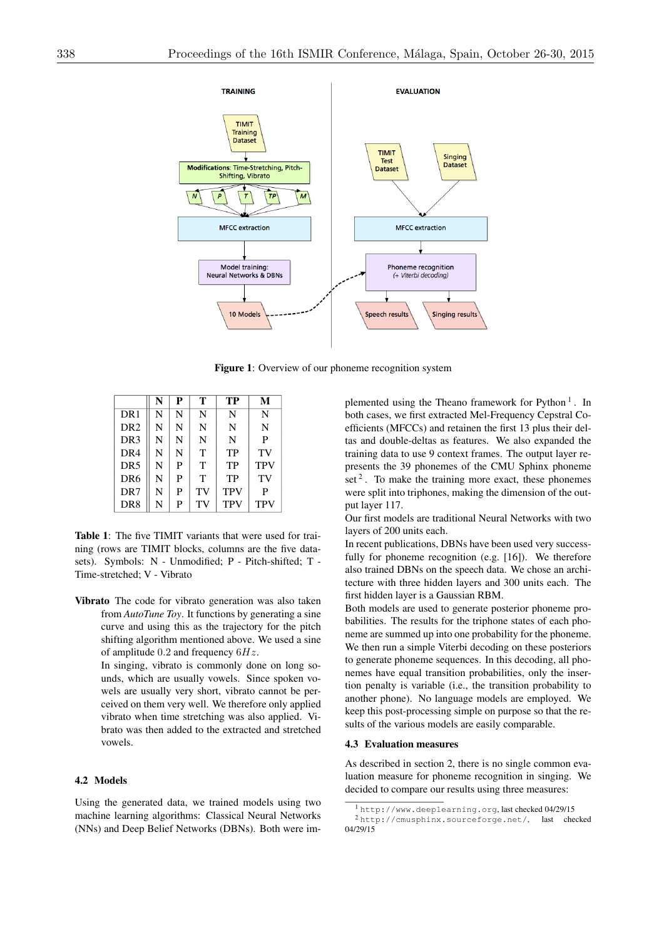

Figure 1: Overview of our phoneme recognition system

|                 | N | P | т  | TP         | M          |
|-----------------|---|---|----|------------|------------|
| DR <sub>1</sub> | N | N | N  | N          | N          |
| DR <sub>2</sub> | N | N | N  | N          | N          |
| DR <sub>3</sub> | N | N | N  | N          | P          |
| DR <sub>4</sub> | N | N | T  | TP         | TV         |
| DR <sub>5</sub> | N | P | T  | TP         | <b>TPV</b> |
| DR <sub>6</sub> | N | P | T  | TP         | TV         |
| DR <sub>7</sub> | N | P | TV | <b>TPV</b> | P          |
| DR <sub>8</sub> | N | P | TV | <b>TPV</b> | <b>TPV</b> |

Table 1: The five TIMIT variants that were used for training (rows are TIMIT blocks, columns are the five datasets). Symbols: N - Unmodified; P - Pitch-shifted; T - Time-stretched; V - Vibrato

Vibrato The code for vibrato generation was also taken from *AutoTune Toy*. It functions by generating a sine curve and using this as the trajectory for the pitch shifting algorithm mentioned above. We used a sine of amplitude 0*.*2 and frequency 6*Hz*.

> In singing, vibrato is commonly done on long sounds, which are usually vowels. Since spoken vowels are usually very short, vibrato cannot be perceived on them very well. We therefore only applied vibrato when time stretching was also applied. Vibrato was then added to the extracted and stretched vowels.

# 4.2 Models

Using the generated data, we trained models using two machine learning algorithms: Classical Neural Networks (NNs) and Deep Belief Networks (DBNs). Both were im-

plemented using the Theano framework for Python  $<sup>1</sup>$ . In</sup> both cases, we first extracted Mel-Frequency Cepstral Coefficients (MFCCs) and retainen the first 13 plus their deltas and double-deltas as features. We also expanded the training data to use 9 context frames. The output layer represents the 39 phonemes of the CMU Sphinx phoneme set  $2$ . To make the training more exact, these phonemes were split into triphones, making the dimension of the output layer 117.

Our first models are traditional Neural Networks with two layers of 200 units each.

In recent publications, DBNs have been used very successfully for phoneme recognition (e.g. [16]). We therefore also trained DBNs on the speech data. We chose an architecture with three hidden layers and 300 units each. The first hidden layer is a Gaussian RBM.

Both models are used to generate posterior phoneme probabilities. The results for the triphone states of each phoneme are summed up into one probability for the phoneme. We then run a simple Viterbi decoding on these posteriors to generate phoneme sequences. In this decoding, all phonemes have equal transition probabilities, only the insertion penalty is variable (i.e., the transition probability to another phone). No language models are employed. We keep this post-processing simple on purpose so that the results of the various models are easily comparable.

### 4.3 Evaluation measures

As described in section 2, there is no single common evaluation measure for phoneme recognition in singing. We decided to compare our results using three measures:

<sup>1</sup> http://www.deeplearning.org, last checked 04/29/15 <sup>2</sup> http://cmusphinx.sourceforge.net/, last checked 04/29/15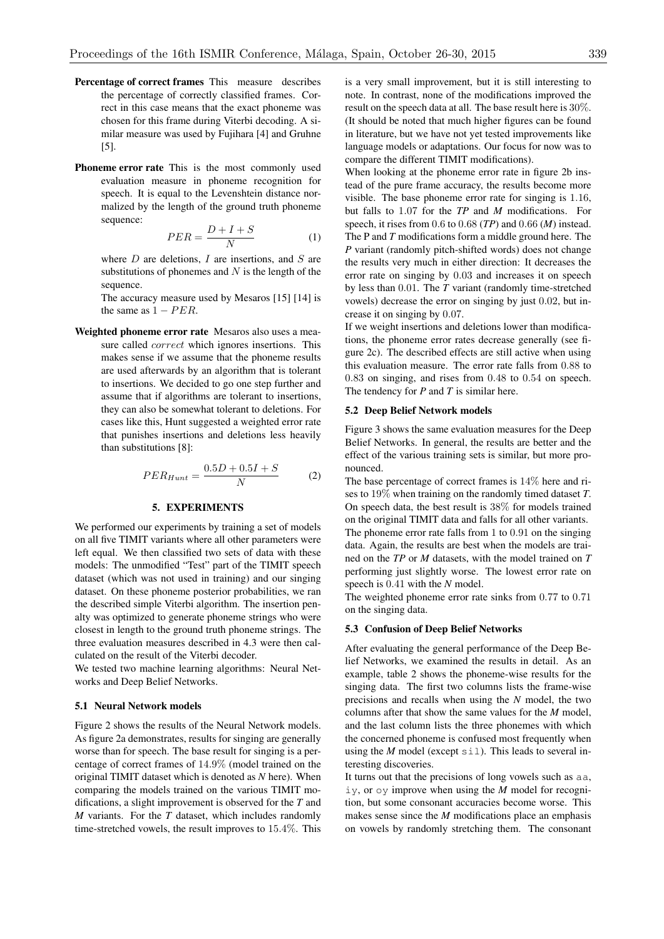- Percentage of correct frames This measure describes the percentage of correctly classified frames. Correct in this case means that the exact phoneme was chosen for this frame during Viterbi decoding. A similar measure was used by Fujihara [4] and Gruhne [5].
- Phoneme error rate This is the most commonly used evaluation measure in phoneme recognition for speech. It is equal to the Levenshtein distance normalized by the length of the ground truth phoneme sequence:

$$
PER = \frac{D + I + S}{N} \tag{1}
$$

where *D* are deletions, *I* are insertions, and *S* are substitutions of phonemes and *N* is the length of the sequence.

The accuracy measure used by Mesaros [15] [14] is the same as  $1 - PER$ .

Weighted phoneme error rate Mesaros also uses a measure called *correct* which ignores insertions. This makes sense if we assume that the phoneme results are used afterwards by an algorithm that is tolerant to insertions. We decided to go one step further and assume that if algorithms are tolerant to insertions, they can also be somewhat tolerant to deletions. For cases like this, Hunt suggested a weighted error rate that punishes insertions and deletions less heavily than substitutions [8]:

$$
PER_{Hunt} = \frac{0.5D + 0.5I + S}{N} \tag{2}
$$

# 5. EXPERIMENTS

We performed our experiments by training a set of models on all five TIMIT variants where all other parameters were left equal. We then classified two sets of data with these models: The unmodified "Test" part of the TIMIT speech dataset (which was not used in training) and our singing dataset. On these phoneme posterior probabilities, we ran the described simple Viterbi algorithm. The insertion penalty was optimized to generate phoneme strings who were closest in length to the ground truth phoneme strings. The three evaluation measures described in 4.3 were then calculated on the result of the Viterbi decoder.

We tested two machine learning algorithms: Neural Networks and Deep Belief Networks.

### 5.1 Neural Network models

Figure 2 shows the results of the Neural Network models. As figure 2a demonstrates, results for singing are generally worse than for speech. The base result for singing is a percentage of correct frames of 14*.*9% (model trained on the original TIMIT dataset which is denoted as *N* here). When comparing the models trained on the various TIMIT modifications, a slight improvement is observed for the *T* and *M* variants. For the *T* dataset, which includes randomly time-stretched vowels, the result improves to 15*.*4%. This

is a very small improvement, but it is still interesting to note. In contrast, none of the modifications improved the result on the speech data at all. The base result here is 30%. (It should be noted that much higher figures can be found in literature, but we have not yet tested improvements like language models or adaptations. Our focus for now was to compare the different TIMIT modifications).

When looking at the phoneme error rate in figure 2b instead of the pure frame accuracy, the results become more visible. The base phoneme error rate for singing is 1*.*16, but falls to 1*.*07 for the *TP* and *M* modifications. For speech, it rises from 0*.*6 to 0*.*68 (*TP*) and 0*.*66 (*M*) instead. The P and *T* modifications form a middle ground here. The *P* variant (randomly pitch-shifted words) does not change the results very much in either direction: It decreases the error rate on singing by 0*.*03 and increases it on speech by less than 0*.*01. The *T* variant (randomly time-stretched vowels) decrease the error on singing by just 0*.*02, but increase it on singing by 0*.*07.

If we weight insertions and deletions lower than modifications, the phoneme error rates decrease generally (see figure 2c). The described effects are still active when using this evaluation measure. The error rate falls from 0*.*88 to 0*.*83 on singing, and rises from 0*.*48 to 0*.*54 on speech. The tendency for *P* and *T* is similar here.

### 5.2 Deep Belief Network models

Figure 3 shows the same evaluation measures for the Deep Belief Networks. In general, the results are better and the effect of the various training sets is similar, but more pronounced.

The base percentage of correct frames is 14% here and rises to 19% when training on the randomly timed dataset *T*. On speech data, the best result is 38% for models trained on the original TIMIT data and falls for all other variants. The phoneme error rate falls from 1 to 0*.*91 on the singing data. Again, the results are best when the models are trained on the *TP* or *M* datasets, with the model trained on *T* performing just slightly worse. The lowest error rate on speech is 0*.*41 with the *N* model.

The weighted phoneme error rate sinks from 0*.*77 to 0*.*71 on the singing data.

### 5.3 Confusion of Deep Belief Networks

After evaluating the general performance of the Deep Belief Networks, we examined the results in detail. As an example, table 2 shows the phoneme-wise results for the singing data. The first two columns lists the frame-wise precisions and recalls when using the *N* model, the two columns after that show the same values for the *M* model, and the last column lists the three phonemes with which the concerned phoneme is confused most frequently when using the *M* model (except  $\sin 1$ ). This leads to several interesting discoveries.

It turns out that the precisions of long vowels such as aa, iy, or oy improve when using the *M* model for recognition, but some consonant accuracies become worse. This makes sense since the *M* modifications place an emphasis on vowels by randomly stretching them. The consonant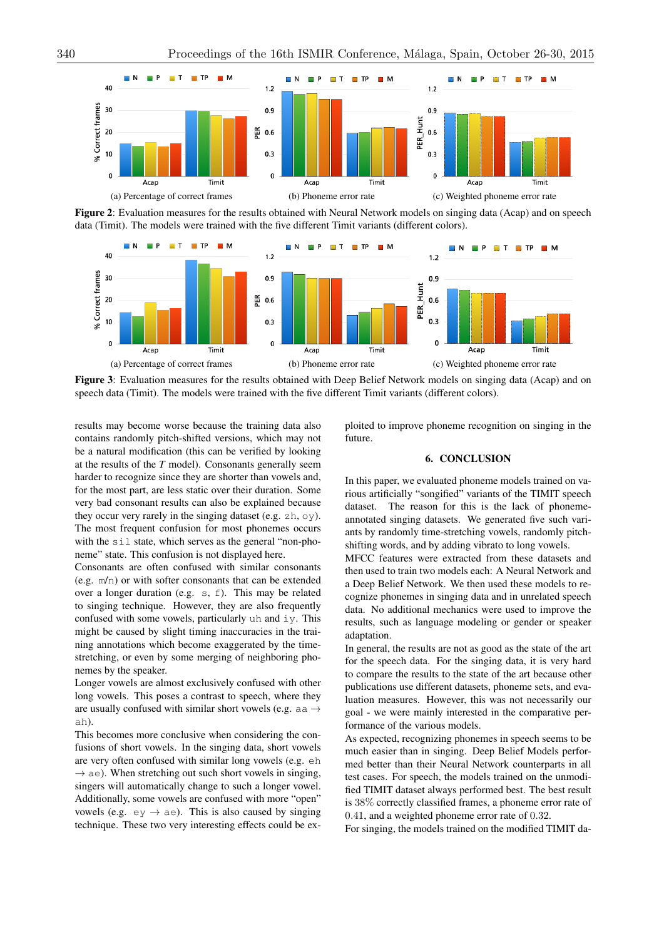

Figure 2: Evaluation measures for the results obtained with Neural Network models on singing data (Acap) and on speech data (Timit). The models were trained with the five different Timit variants (different colors).



Figure 3: Evaluation measures for the results obtained with Deep Belief Network models on singing data (Acap) and on speech data (Timit). The models were trained with the five different Timit variants (different colors).

results may become worse because the training data also contains randomly pitch-shifted versions, which may not be a natural modification (this can be verified by looking at the results of the *T* model). Consonants generally seem harder to recognize since they are shorter than vowels and, for the most part, are less static over their duration. Some very bad consonant results can also be explained because they occur very rarely in the singing dataset (e.g. zh, oy). The most frequent confusion for most phonemes occurs with the sil state, which serves as the general "non-phoneme" state. This confusion is not displayed here.

Consonants are often confused with similar consonants (e.g. m/n) or with softer consonants that can be extended over a longer duration (e.g. s, f). This may be related to singing technique. However, they are also frequently confused with some vowels, particularly uh and iy. This might be caused by slight timing inaccuracies in the training annotations which become exaggerated by the timestretching, or even by some merging of neighboring phonemes by the speaker.

Longer vowels are almost exclusively confused with other long vowels. This poses a contrast to speech, where they are usually confused with similar short vowels (e.g. aa  $\rightarrow$ ah).

This becomes more conclusive when considering the confusions of short vowels. In the singing data, short vowels are very often confused with similar long vowels (e.g. eh  $\rightarrow$  ae). When stretching out such short vowels in singing, singers will automatically change to such a longer vowel. Additionally, some vowels are confused with more "open" vowels (e.g.  $ey \rightarrow ae$ ). This is also caused by singing technique. These two very interesting effects could be exploited to improve phoneme recognition on singing in the future.

# 6. CONCLUSION

In this paper, we evaluated phoneme models trained on various artificially "songified" variants of the TIMIT speech dataset. The reason for this is the lack of phonemeannotated singing datasets. We generated five such variants by randomly time-stretching vowels, randomly pitchshifting words, and by adding vibrato to long vowels.

MFCC features were extracted from these datasets and then used to train two models each: A Neural Network and a Deep Belief Network. We then used these models to recognize phonemes in singing data and in unrelated speech data. No additional mechanics were used to improve the results, such as language modeling or gender or speaker adaptation.

In general, the results are not as good as the state of the art for the speech data. For the singing data, it is very hard to compare the results to the state of the art because other publications use different datasets, phoneme sets, and evaluation measures. However, this was not necessarily our goal - we were mainly interested in the comparative performance of the various models.

As expected, recognizing phonemes in speech seems to be much easier than in singing. Deep Belief Models performed better than their Neural Network counterparts in all test cases. For speech, the models trained on the unmodified TIMIT dataset always performed best. The best result is 38% correctly classified frames, a phoneme error rate of 0*.*41, and a weighted phoneme error rate of 0*.*32.

For singing, the models trained on the modified TIMIT da-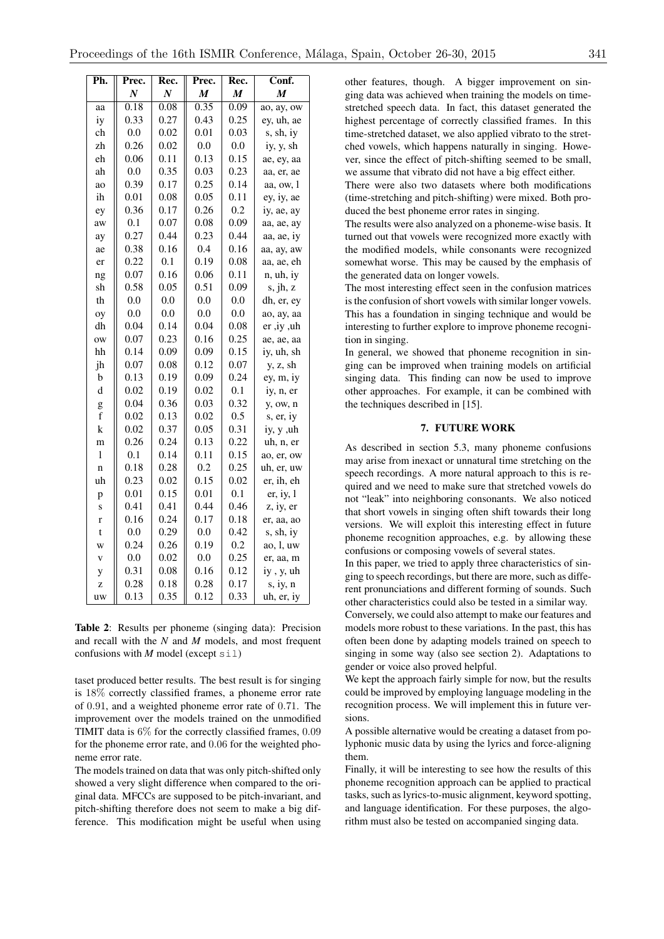| Ph.          | Prec. | Rec.             | Prec. | Rec. | Conf.      |
|--------------|-------|------------------|-------|------|------------|
|              | N     | $\boldsymbol{N}$ | M     | M    | M          |
| aa           | 0.18  | 0.08             | 0.35  | 0.09 | ao, ay, ow |
| iy           | 0.33  | 0.27             | 0.43  | 0.25 | ey, uh, ae |
| ch           | 0.0   | 0.02             | 0.01  | 0.03 | s, sh, iy  |
| zh           | 0.26  | 0.02             | 0.0   | 0.0  | iy, y, sh  |
| eh           | 0.06  | 0.11             | 0.13  | 0.15 | ae, ey, aa |
| ah           | 0.0   | 0.35             | 0.03  | 0.23 | aa, er, ae |
| ao           | 0.39  | 0.17             | 0.25  | 0.14 | aa, ow, l  |
| ih           | 0.01  | 0.08             | 0.05  | 0.11 | ey, iy, ae |
| ey           | 0.36  | 0.17             | 0.26  | 0.2  | iy, ae, ay |
| aw           | 0.1   | 0.07             | 0.08  | 0.09 | aa, ae, ay |
| ay           | 0.27  | 0.44             | 0.23  | 0.44 | aa, ae, iy |
| ae           | 0.38  | 0.16             | 0.4   | 0.16 | aa, ay, aw |
| er           | 0.22  | 0.1              | 0.19  | 0.08 | aa, ae, eh |
| ng           | 0.07  | 0.16             | 0.06  | 0.11 | n, uh, iy  |
| sh           | 0.58  | 0.05             | 0.51  | 0.09 | s, jh, z   |
| th           | 0.0   | 0.0              | 0.0   | 0.0  | dh, er, ey |
| oy           | 0.0   | 0.0              | 0.0   | 0.0  | ao, ay, aa |
| dh           | 0.04  | 0.14             | 0.04  | 0.08 | er ,iy ,uh |
| ow           | 0.07  | 0.23             | 0.16  | 0.25 | ae, ae, aa |
| hh           | 0.14  | 0.09             | 0.09  | 0.15 | iy, uh, sh |
| jh           | 0.07  | 0.08             | 0.12  | 0.07 | y, z, sh   |
| b            | 0.13  | 0.19             | 0.09  | 0.24 | ey, m, iy  |
| d            | 0.02  | 0.19             | 0.02  | 0.1  | iy, n, er  |
| g            | 0.04  | 0.36             | 0.03  | 0.32 | y, ow, n   |
| $\mathbf f$  | 0.02  | 0.13             | 0.02  | 0.5  | s, er, iy  |
| $\bf k$      | 0.02  | 0.37             | 0.05  | 0.31 | iy, y ,uh  |
| m            | 0.26  | 0.24             | 0.13  | 0.22 | uh, n, er  |
| $\mathbf{l}$ | 0.1   | 0.14             | 0.11  | 0.15 | ao, er, ow |
| $\mathbf{n}$ | 0.18  | 0.28             | 0.2   | 0.25 | uh, er, uw |
| uh           | 0.23  | 0.02             | 0.15  | 0.02 | er, ih, eh |
| p            | 0.01  | 0.15             | 0.01  | 0.1  | er, iy, l  |
| S            | 0.41  | 0.41             | 0.44  | 0.46 | z, iy, er  |
| r            | 0.16  | 0.24             | 0.17  | 0.18 | er, aa, ao |
| t            | 0.0   | 0.29             | 0.0   | 0.42 | s, sh, iy  |
| W            | 0.24  | 0.26             | 0.19  | 0.2  | ao, l, uw  |
| $\mathbf{V}$ | 0.0   | 0.02             | 0.0   | 0.25 | er, aa, m  |
| y            | 0.31  | 0.08             | 0.16  | 0.12 | iy, y, uh  |
| Z            | 0.28  | 0.18             | 0.28  | 0.17 | s, iy, n   |
| uw           | 0.13  | 0.35             | 0.12  | 0.33 | uh, er, iy |

Table 2: Results per phoneme (singing data): Precision and recall with the *N* and *M* models, and most frequent confusions with *M* model (except  $\sin 1$ )

taset produced better results. The best result is for singing is 18% correctly classified frames, a phoneme error rate of 0*.*91, and a weighted phoneme error rate of 0*.*71. The improvement over the models trained on the unmodified TIMIT data is 6% for the correctly classified frames, 0*.*09 for the phoneme error rate, and 0*.*06 for the weighted phoneme error rate.

The models trained on data that was only pitch-shifted only showed a very slight difference when compared to the original data. MFCCs are supposed to be pitch-invariant, and pitch-shifting therefore does not seem to make a big difference. This modification might be useful when using other features, though. A bigger improvement on singing data was achieved when training the models on timestretched speech data. In fact, this dataset generated the highest percentage of correctly classified frames. In this time-stretched dataset, we also applied vibrato to the stretched vowels, which happens naturally in singing. However, since the effect of pitch-shifting seemed to be small, we assume that vibrato did not have a big effect either.

There were also two datasets where both modifications (time-stretching and pitch-shifting) were mixed. Both produced the best phoneme error rates in singing.

The results were also analyzed on a phoneme-wise basis. It turned out that vowels were recognized more exactly with the modified models, while consonants were recognized somewhat worse. This may be caused by the emphasis of the generated data on longer vowels.

The most interesting effect seen in the confusion matrices is the confusion of short vowels with similar longer vowels. This has a foundation in singing technique and would be interesting to further explore to improve phoneme recognition in singing.

In general, we showed that phoneme recognition in singing can be improved when training models on artificial singing data. This finding can now be used to improve other approaches. For example, it can be combined with the techniques described in [15].

### 7. FUTURE WORK

As described in section 5.3, many phoneme confusions may arise from inexact or unnatural time stretching on the speech recordings. A more natural approach to this is required and we need to make sure that stretched vowels do not "leak" into neighboring consonants. We also noticed that short vowels in singing often shift towards their long versions. We will exploit this interesting effect in future phoneme recognition approaches, e.g. by allowing these confusions or composing vowels of several states.

In this paper, we tried to apply three characteristics of singing to speech recordings, but there are more, such as different pronunciations and different forming of sounds. Such other characteristics could also be tested in a similar way.

Conversely, we could also attempt to make our features and models more robust to these variations. In the past, this has often been done by adapting models trained on speech to singing in some way (also see section 2). Adaptations to gender or voice also proved helpful.

We kept the approach fairly simple for now, but the results could be improved by employing language modeling in the recognition process. We will implement this in future versions.

A possible alternative would be creating a dataset from polyphonic music data by using the lyrics and force-aligning them.

Finally, it will be interesting to see how the results of this phoneme recognition approach can be applied to practical tasks, such as lyrics-to-music alignment, keyword spotting, and language identification. For these purposes, the algorithm must also be tested on accompanied singing data.